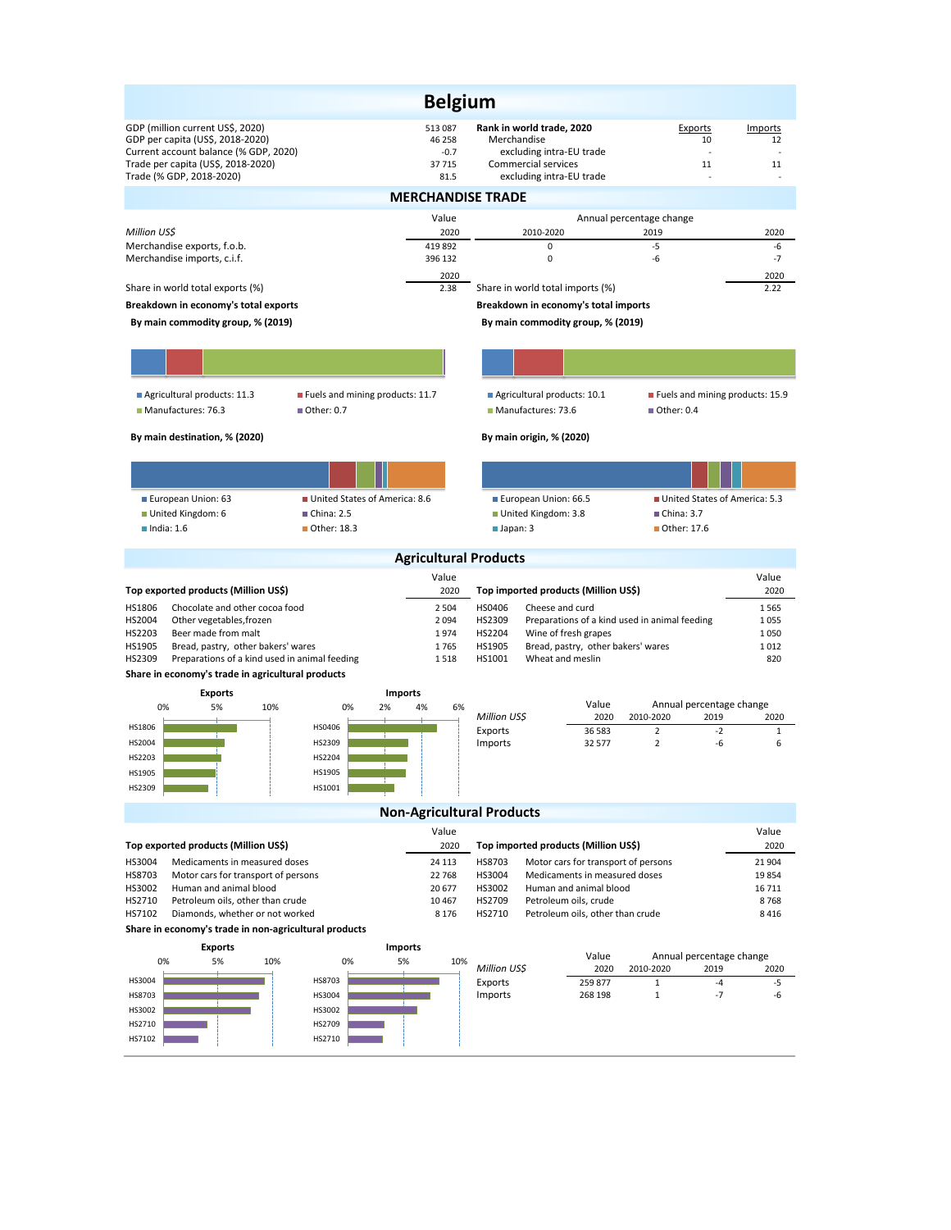|                                                                                                               | <b>Belgium</b>               |                                                                                           |                                 |                 |  |  |  |  |  |  |  |
|---------------------------------------------------------------------------------------------------------------|------------------------------|-------------------------------------------------------------------------------------------|---------------------------------|-----------------|--|--|--|--|--|--|--|
| GDP (million current US\$, 2020)<br>GDP per capita (US\$, 2018-2020)<br>Current account balance (% GDP, 2020) | 513 087<br>46 258<br>$-0.7$  | Rank in world trade, 2020<br>Merchandise<br>excluding intra-EU trade                      | Exports<br>10                   | Imports<br>12   |  |  |  |  |  |  |  |
| Trade per capita (US\$, 2018-2020)<br>Trade (% GDP, 2018-2020)                                                | 37 715<br>81.5               | Commercial services<br>excluding intra-EU trade                                           | 11                              | 11              |  |  |  |  |  |  |  |
| <b>MERCHANDISE TRADE</b>                                                                                      |                              |                                                                                           |                                 |                 |  |  |  |  |  |  |  |
|                                                                                                               | Value                        |                                                                                           | Annual percentage change        |                 |  |  |  |  |  |  |  |
| Million US\$                                                                                                  | 2020                         | 2010-2020                                                                                 | 2019                            | 2020            |  |  |  |  |  |  |  |
| Merchandise exports, f.o.b.<br>Merchandise imports, c.i.f.                                                    | 419 892<br>396 132           | 0<br>$\pmb{0}$                                                                            | $-5$<br>-6                      | -6<br>$-7$      |  |  |  |  |  |  |  |
| Share in world total exports (%)                                                                              | 2020<br>2.38                 | Share in world total imports (%)                                                          |                                 | 2020<br>2.22    |  |  |  |  |  |  |  |
| Breakdown in economy's total exports                                                                          |                              | Breakdown in economy's total imports                                                      |                                 |                 |  |  |  |  |  |  |  |
| By main commodity group, % (2019)                                                                             |                              | By main commodity group, % (2019)                                                         |                                 |                 |  |  |  |  |  |  |  |
|                                                                                                               |                              |                                                                                           |                                 |                 |  |  |  |  |  |  |  |
|                                                                                                               |                              |                                                                                           |                                 |                 |  |  |  |  |  |  |  |
| Agricultural products: 11.3<br>Fuels and mining products: 11.7                                                |                              | Agricultural products: 10.1                                                               | Fuels and mining products: 15.9 |                 |  |  |  |  |  |  |  |
| Manufactures: 76.3<br>■ Other: 0.7                                                                            |                              | Manufactures: 73.6                                                                        | Other: 0.4                      |                 |  |  |  |  |  |  |  |
| By main destination, % (2020)                                                                                 |                              | By main origin, % (2020)                                                                  |                                 |                 |  |  |  |  |  |  |  |
|                                                                                                               |                              |                                                                                           |                                 |                 |  |  |  |  |  |  |  |
| United States of America: 8.6<br>European Union: 63                                                           |                              | European Union: 66.5                                                                      | United States of America: 5.3   |                 |  |  |  |  |  |  |  |
| United Kingdom: 6<br>$\blacksquare$ China: 2.5<br>$\blacksquare$ India: 1.6<br>■ Other: 18.3                  |                              | United Kingdom: 3.8<br>$\blacksquare$ Japan: 3                                            | China: 3.7<br>Other: 17.6       |                 |  |  |  |  |  |  |  |
|                                                                                                               | <b>Agricultural Products</b> |                                                                                           |                                 |                 |  |  |  |  |  |  |  |
|                                                                                                               | Value                        |                                                                                           |                                 | Value           |  |  |  |  |  |  |  |
| Top exported products (Million US\$)                                                                          | 2020                         | Top imported products (Million US\$)                                                      |                                 | 2020            |  |  |  |  |  |  |  |
| HS1806<br>Chocolate and other cocoa food                                                                      | 2 5 0 4                      | HS0406<br>Cheese and curd                                                                 |                                 | 1565            |  |  |  |  |  |  |  |
| HS2004<br>Other vegetables, frozen<br>HS2203<br>Beer made from malt                                           | 2 0 9 4<br>1974              | HS2309<br>Preparations of a kind used in animal feeding<br>HS2204<br>Wine of fresh grapes |                                 | 1055<br>1050    |  |  |  |  |  |  |  |
| HS1905<br>Bread, pastry, other bakers' wares<br>1765                                                          |                              | HS1905<br>Bread, pastry, other bakers' wares<br>1012                                      |                                 |                 |  |  |  |  |  |  |  |
| HS2309<br>Preparations of a kind used in animal feeding                                                       | 1518                         | HS1001<br>Wheat and meslin                                                                |                                 | 820             |  |  |  |  |  |  |  |
| Share in economy's trade in agricultural products                                                             |                              |                                                                                           |                                 |                 |  |  |  |  |  |  |  |
| <b>Exports</b>                                                                                                | <b>Imports</b>               | Value                                                                                     | Annual percentage change        |                 |  |  |  |  |  |  |  |
| 0%<br>5%<br>10%<br>0%<br>2%                                                                                   | 4%<br>6%                     | Million US\$<br>2020                                                                      | 2010-2020<br>2019               | 2020            |  |  |  |  |  |  |  |
| HS1806<br>HS0406                                                                                              |                              | Exports<br>36 583                                                                         | $\overline{2}$<br>$-2$          | 1               |  |  |  |  |  |  |  |
| HS2004<br>HS2309<br>HS2204<br>HS2203                                                                          |                              | Imports<br>32 577                                                                         | $\overline{2}$<br>-6            | 6               |  |  |  |  |  |  |  |
| <b>HS1905</b><br><b>HS1905</b>                                                                                |                              |                                                                                           |                                 |                 |  |  |  |  |  |  |  |
| HS1001<br>HS2309                                                                                              |                              |                                                                                           |                                 |                 |  |  |  |  |  |  |  |
| <b>Non-Agricultural Products</b>                                                                              |                              |                                                                                           |                                 |                 |  |  |  |  |  |  |  |
|                                                                                                               | Value                        |                                                                                           |                                 | Value           |  |  |  |  |  |  |  |
| Top exported products (Million US\$)                                                                          | 2020                         | Top imported products (Million US\$)                                                      |                                 | 2020            |  |  |  |  |  |  |  |
| HS3004<br>Medicaments in measured doses                                                                       | 24 113                       | HS8703<br>Motor cars for transport of persons                                             |                                 | 21 904          |  |  |  |  |  |  |  |
| HS8703<br>Motor cars for transport of persons<br>HS3002<br>Human and animal blood                             | 22 768<br>20 677             | HS3004<br>Medicaments in measured doses<br>HS3002<br>Human and animal blood               |                                 | 19854<br>16 711 |  |  |  |  |  |  |  |
| HS2710<br>Petroleum oils, other than crude                                                                    | 10 4 67                      | HS2709<br>Petroleum oils, crude                                                           |                                 | 8768            |  |  |  |  |  |  |  |
| HS7102<br>Diamonds, whether or not worked                                                                     | 8 1 7 6                      | HS2710<br>Petroleum oils, other than crude                                                |                                 | 8416            |  |  |  |  |  |  |  |
| Share in economy's trade in non-agricultural products                                                         |                              |                                                                                           |                                 |                 |  |  |  |  |  |  |  |
| <b>Exports</b>                                                                                                | <b>Imports</b>               | Value                                                                                     | Annual percentage change        |                 |  |  |  |  |  |  |  |
| 0%<br>5%<br>10%<br>0%                                                                                         | 5%<br>10%                    | Million US\$<br>2020                                                                      | 2010-2020<br>2019               | 2020            |  |  |  |  |  |  |  |
| HS8703<br>HS3004                                                                                              |                              | Exports<br>259 877                                                                        | $\mathbf{1}$<br>-4              | -5              |  |  |  |  |  |  |  |
| HS8703<br>HS3004                                                                                              |                              | Imports<br>268 198                                                                        | $-7$<br>$\mathbf{1}$            | -6              |  |  |  |  |  |  |  |
| HS3002<br>HS3002                                                                                              |                              |                                                                                           |                                 |                 |  |  |  |  |  |  |  |
| HS2709<br>HS2710<br>HS7102<br>HS2710                                                                          |                              |                                                                                           |                                 |                 |  |  |  |  |  |  |  |
|                                                                                                               |                              |                                                                                           |                                 |                 |  |  |  |  |  |  |  |
|                                                                                                               |                              |                                                                                           |                                 |                 |  |  |  |  |  |  |  |